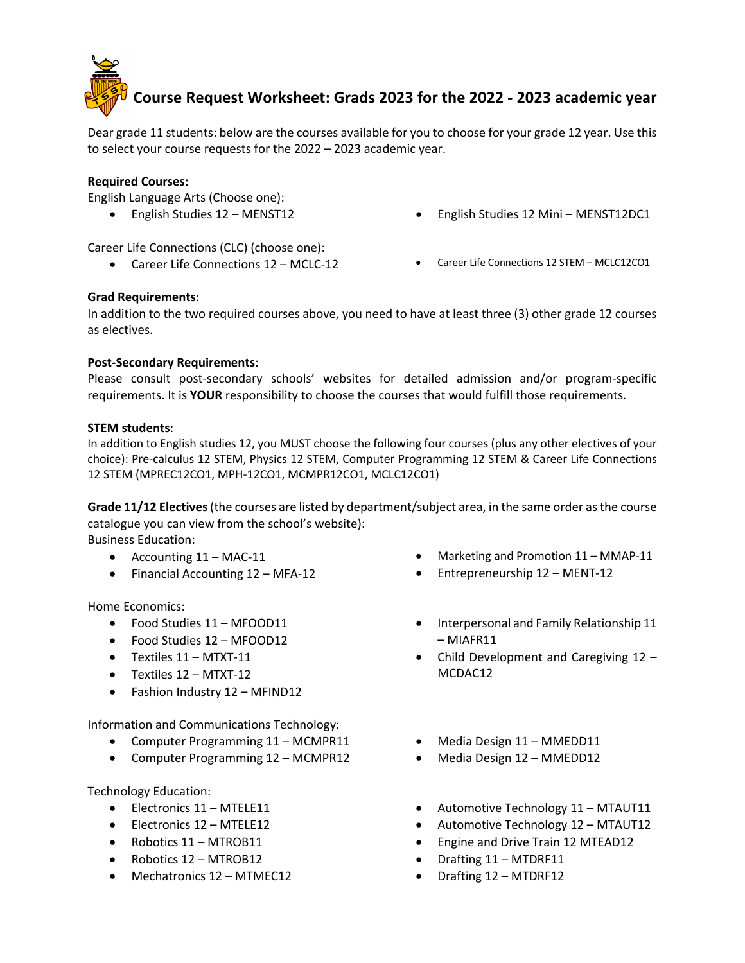

# **Course Request Worksheet: Grads 2023 for the 2022 - 2023 academic year**

Dear grade 11 students: below are the courses available for you to choose for your grade 12 year. Use this to select your course requests for the 2022 – 2023 academic year.

### **Required Courses:**

English Language Arts (Choose one):

• English Studies 12 – MENST12 • Comparent values 12 Mini – MENST12DC1

Career Life Connections (CLC) (choose one):

- Career Life Connections 12 MCLC-12 Career Life Connections 12 STEM MCLC12CO1
- 

## **Grad Requirements**:

In addition to the two required courses above, you need to have at least three (3) other grade 12 courses as electives.

## **Post-Secondary Requirements**:

Please consult post-secondary schools' websites for detailed admission and/or program-specific requirements. It is **YOUR** responsibility to choose the courses that would fulfill those requirements.

## **STEM students**:

In addition to English studies 12, you MUST choose the following four courses (plus any other electives of your choice): Pre-calculus 12 STEM, Physics 12 STEM, Computer Programming 12 STEM & Career Life Connections 12 STEM (MPREC12CO1, MPH-12CO1, MCMPR12CO1, MCLC12CO1)

**Grade 11/12 Electives**(the courses are listed by department/subject area, in the same order as the course catalogue you can view from the school's website):

Business Education:

- Accounting  $11 \text{MAC-11}$
- Financial Accounting 12 MFA-12

Home Economics:

- Food Studies 11 MFOOD11
- Food Studies 12 MFOOD12
- Textiles 11 MTXT-11
- Textiles 12 MTXT-12
- Fashion Industry 12 MFIND12

Information and Communications Technology:

- Computer Programming 11 MCMPR11
- Computer Programming 12 MCMPR12

Technology Education:

- Electronics 11 MTELE11
- Electronics 12 MTELE12
- Robotics 11 MTROB11
- Robotics 12 MTROB12
- Mechatronics 12 MTMEC12
- Marketing and Promotion 11 MMAP-11
- Entrepreneurship 12 MENT-12
- Interpersonal and Family Relationship 11 – MIAFR11
- Child Development and Caregiving 12 MCDAC12
- Media Design 11 MMEDD11
- Media Design 12 MMEDD12
- Automotive Technology 11 MTAUT11
- Automotive Technology 12 MTAUT12
- Engine and Drive Train 12 MTEAD12
- Drafting 11 MTDRF11
- Drafting 12 MTDRF12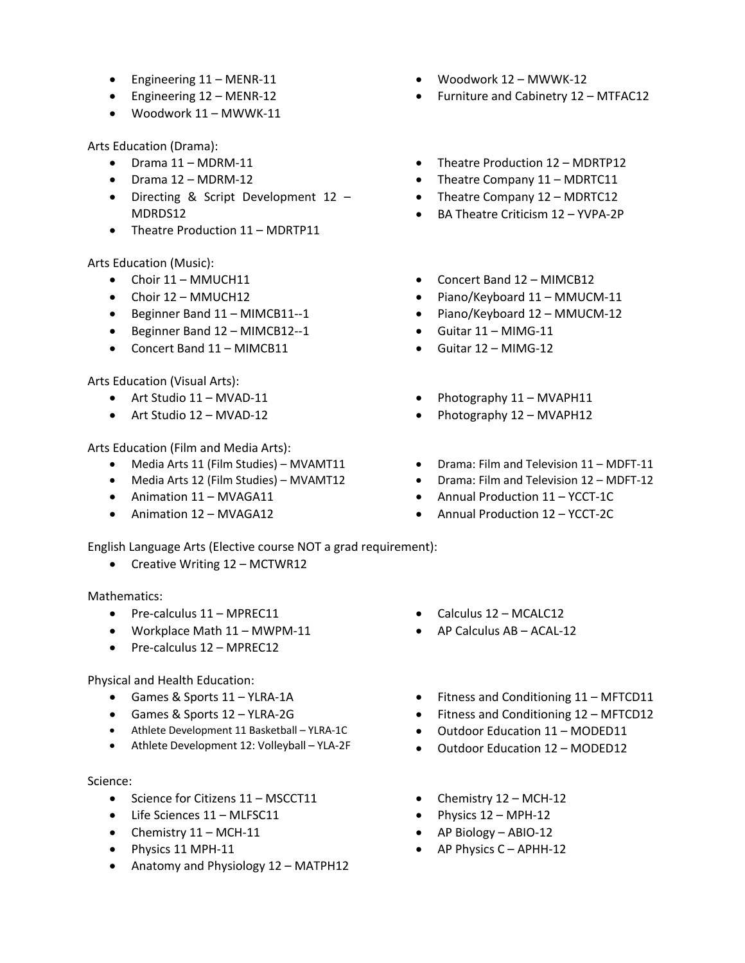- Engineering 11 MENR-11
- Engineering 12 MENR-12
- Woodwork 11 MWWK-11

Arts Education (Drama):

- Drama 11 MDRM-11
- Drama 12 MDRM-12
- Directing & Script Development 12 MDRDS12
- Theatre Production 11 MDRTP11

Arts Education (Music):

- Choir 11 MMUCH11
- Choir 12 MMUCH12
- Beginner Band 11 MIMCB11--1
- Beginner Band 12 MIMCB12--1
- Concert Band 11 MIMCB11

Arts Education (Visual Arts):

- Art Studio 11 MVAD-11
- Art Studio 12 MVAD-12

Arts Education (Film and Media Arts):

- Media Arts 11 (Film Studies) MVAMT11
- Media Arts 12 (Film Studies) MVAMT12
- Animation 11 MVAGA11
- Animation 12 MVAGA12

English Language Arts (Elective course NOT a grad requirement):

• Creative Writing 12 – MCTWR12

Mathematics:

- Pre-calculus 11 MPREC11
- Workplace Math 11 MWPM-11
- Pre-calculus 12 MPREC12

Physical and Health Education:

- Games & Sports 11 YLRA-1A
- Games & Sports 12 YLRA-2G
- Athlete Development 11 Basketball YLRA-1C
- Athlete Development 12: Volleyball YLA-2F

Science:

- Science for Citizens 11 MSCCT11
- Life Sciences 11 MLFSC11
- Chemistry  $11 MCH-11$
- Physics 11 MPH-11
- Anatomy and Physiology 12 MATPH12
- Woodwork 12 MWWK-12
- Furniture and Cabinetry 12 MTFAC12
- Theatre Production 12 MDRTP12
- Theatre Company 11 MDRTC11
- Theatre Company 12 MDRTC12
- BA Theatre Criticism 12 YVPA-2P
- Concert Band 12 MIMCB12
- Piano/Keyboard 11 MMUCM-11
- Piano/Keyboard 12 MMUCM-12
- $\bullet$  Guitar 11 MIMG-11
- Guitar 12 MIMG-12
- Photography 11 MVAPH11
- Photography 12 MVAPH12
- Drama: Film and Television 11 MDFT-11
- Drama: Film and Television 12 MDFT-12
- Annual Production 11 YCCT-1C
- Annual Production 12 YCCT-2C
- Calculus 12 MCALC12
- AP Calculus AB ACAL-12
- Fitness and Conditioning 11 MFTCD11
- Fitness and Conditioning 12 MFTCD12
- Outdoor Education 11 MODED11
- Outdoor Education 12 MODED12
- Chemistry  $12 MCH-12$
- Physics 12 MPH-12
- AP Biology ABIO-12
- AP Physics C APHH-12